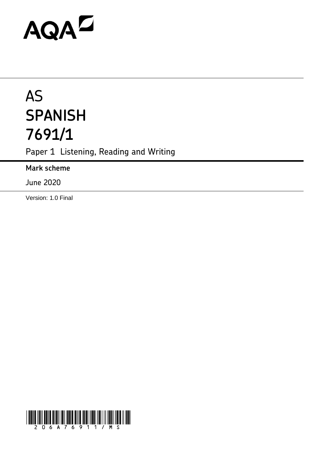# AQAZ

# AS **SPANISH 7691/1**

Paper 1 Listening, Reading and Writing

**Mark scheme**

June 2020

Version: 1.0 Final

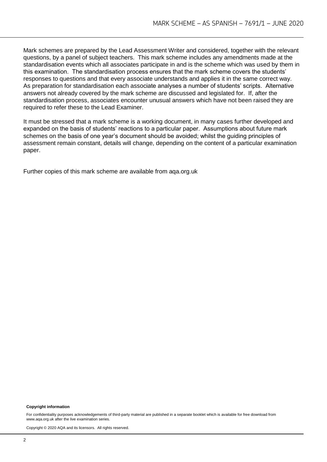Mark schemes are prepared by the Lead Assessment Writer and considered, together with the relevant questions, by a panel of subject teachers. This mark scheme includes any amendments made at the standardisation events which all associates participate in and is the scheme which was used by them in this examination. The standardisation process ensures that the mark scheme covers the students' responses to questions and that every associate understands and applies it in the same correct way. As preparation for standardisation each associate analyses a number of students' scripts. Alternative answers not already covered by the mark scheme are discussed and legislated for. If, after the standardisation process, associates encounter unusual answers which have not been raised they are required to refer these to the Lead Examiner.

It must be stressed that a mark scheme is a working document, in many cases further developed and expanded on the basis of students' reactions to a particular paper. Assumptions about future mark schemes on the basis of one year's document should be avoided; whilst the guiding principles of assessment remain constant, details will change, depending on the content of a particular examination paper.

Further copies of this mark scheme are available from aqa.org.uk

#### **Copyright information**

For confidentiality purposes acknowledgements of third-party material are published in a separate booklet which is available for free download from [www.aqa.org.uk](http://www.aqa.org.uk/) after the live examination series.

Copyright © 2020 AQA and its licensors. All rights reserved.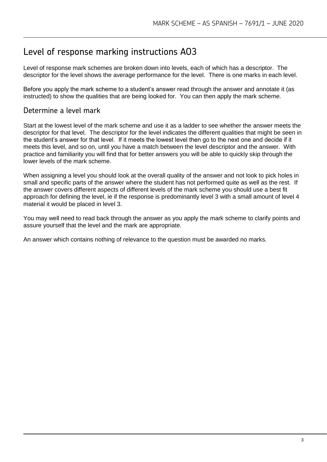## Level of response marking instructions AO3

Level of response mark schemes are broken down into levels, each of which has a descriptor. The descriptor for the level shows the average performance for the level. There is one marks in each level.

Before you apply the mark scheme to a student's answer read through the answer and annotate it (as instructed) to show the qualities that are being looked for. You can then apply the mark scheme.

#### Determine a level mark

Start at the lowest level of the mark scheme and use it as a ladder to see whether the answer meets the descriptor for that level. The descriptor for the level indicates the different qualities that might be seen in the student's answer for that level. If it meets the lowest level then go to the next one and decide if it meets this level, and so on, until you have a match between the level descriptor and the answer. With practice and familiarity you will find that for better answers you will be able to quickly skip through the lower levels of the mark scheme.

When assigning a level you should look at the overall quality of the answer and not look to pick holes in small and specific parts of the answer where the student has not performed quite as well as the rest. If the answer covers different aspects of different levels of the mark scheme you should use a best fit approach for defining the level, ie if the response is predominantly level 3 with a small amount of level 4 material it would be placed in level 3.

You may well need to read back through the answer as you apply the mark scheme to clarify points and assure yourself that the level and the mark are appropriate.

An answer which contains nothing of relevance to the question must be awarded no marks.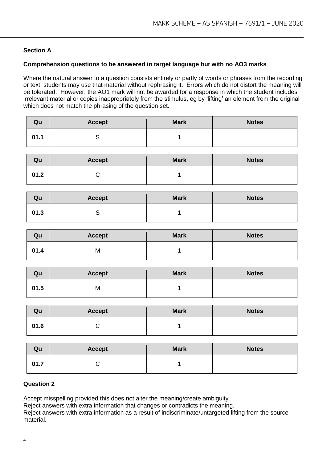#### **Section A**

#### **Comprehension questions to be answered in target language but with no AO3 marks**

Where the natural answer to a question consists entirely or partly of words or phrases from the recording or text, students may use that material without rephrasing it. Errors which do not distort the meaning will be tolerated. However, the AO1 mark will not be awarded for a response in which the student includes irrelevant material or copies inappropriately from the stimulus, eg by 'lifting' an element from the original which does not match the phrasing of the question set.

| Qu   | <b>Accept</b> | <b>Mark</b> | <b>Notes</b> |
|------|---------------|-------------|--------------|
| 01.1 |               |             |              |

| Qu   | <b>Accept</b> | <b>Mark</b> | <b>Notes</b> |
|------|---------------|-------------|--------------|
| 01.2 |               |             |              |

| Qu   | <b>Accept</b> | <b>Mark</b> | <b>Notes</b> |
|------|---------------|-------------|--------------|
| 01.3 |               |             |              |

| Qu   | <b>Accept</b> | <b>Mark</b> | <b>Notes</b> |
|------|---------------|-------------|--------------|
| 01.4 | M             |             |              |

| Qu   | <b>Accept</b> | <b>Mark</b> | <b>Notes</b> |
|------|---------------|-------------|--------------|
| 01.5 | M             |             |              |

| Qu   | <b>Accept</b> | <b>Mark</b> | <b>Notes</b> |
|------|---------------|-------------|--------------|
| 01.6 |               |             |              |

| Qu   | <b>Accept</b> | <b>Mark</b> | <b>Notes</b> |
|------|---------------|-------------|--------------|
| 01.7 |               |             |              |

#### **Question 2**

Accept misspelling provided this does not alter the meaning/create ambiguity.

Reject answers with extra information that changes or contradicts the meaning.

Reject answers with extra information as a result of indiscriminate/untargeted lifting from the source material.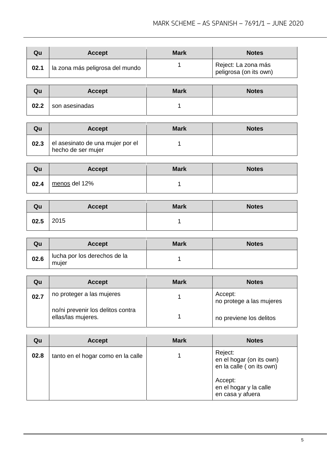| Qu   | <b>Accept</b>                   | <b>Mark</b> | <b>Notes</b>                                  |
|------|---------------------------------|-------------|-----------------------------------------------|
| 02.1 | la zona más peligrosa del mundo |             | Reject: La zona más<br>peligrosa (on its own) |

| Qu   | <b>Accept</b>    | <b>Mark</b> | <b>Notes</b> |
|------|------------------|-------------|--------------|
| 02.2 | I son asesinadas |             |              |

| Qu   | <b>Accept</b>                                          | <b>Mark</b> | <b>Notes</b> |
|------|--------------------------------------------------------|-------------|--------------|
| 02.3 | el asesinato de una mujer por el<br>hecho de ser mujer |             |              |

| Qu   | <b>Accept</b> | <b>Mark</b> | <b>Notes</b> |
|------|---------------|-------------|--------------|
| 02.4 | menos del 12% |             |              |

| Qu   | <b>Accept</b> | <b>Mark</b> | <b>Notes</b> |
|------|---------------|-------------|--------------|
| 02.5 | 2015          |             |              |

| Qu   | <b>Accept</b>                         | <b>Mark</b> | <b>Notes</b> |
|------|---------------------------------------|-------------|--------------|
| 02.6 | lucha por los derechos de la<br>muler |             |              |

| Qu   | <b>Accept</b>                                           | <b>Mark</b> | <b>Notes</b>                        |
|------|---------------------------------------------------------|-------------|-------------------------------------|
| 02.7 | no proteger a las mujeres                               |             | Accept:<br>no protege a las mujeres |
|      | no/ni prevenir los delitos contra<br>ellas/las mujeres. |             | no previene los delitos             |

| Qu   | <b>Accept</b>                      | <b>Mark</b> | <b>Notes</b>                                                                                                             |
|------|------------------------------------|-------------|--------------------------------------------------------------------------------------------------------------------------|
| 02.8 | tanto en el hogar como en la calle |             | Reject:<br>en el hogar (on its own)<br>en la calle (on its own)<br>Accept:<br>en el hogar y la calle<br>en casa y afuera |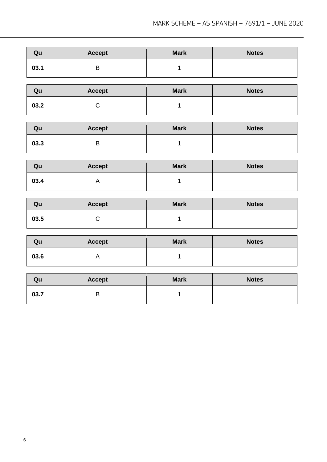| Qu   | <b>Accept</b> | <b>Mark</b> | <b>Notes</b> |
|------|---------------|-------------|--------------|
| 03.1 | ◡             |             |              |

| Qu   | <b>Accept</b> | <b>Mark</b> | <b>Notes</b> |
|------|---------------|-------------|--------------|
| 03.2 |               |             |              |

| Qu   | <b>Accept</b> | <b>Mark</b> | <b>Notes</b> |
|------|---------------|-------------|--------------|
| 03.3 | ◡             |             |              |

| Qu   | <b>Accept</b> | <b>Mark</b> | <b>Notes</b> |
|------|---------------|-------------|--------------|
| 03.4 |               |             |              |

| Qu   | <b>Accept</b> | <b>Mark</b> | <b>Notes</b> |
|------|---------------|-------------|--------------|
| 03.5 |               |             |              |

| Qu   | <b>Accept</b> | <b>Mark</b> | <b>Notes</b> |
|------|---------------|-------------|--------------|
| 03.6 |               |             |              |

| Qu   | <b>Accept</b> | <b>Mark</b> | <b>Notes</b> |
|------|---------------|-------------|--------------|
| 03.7 | ◡             |             |              |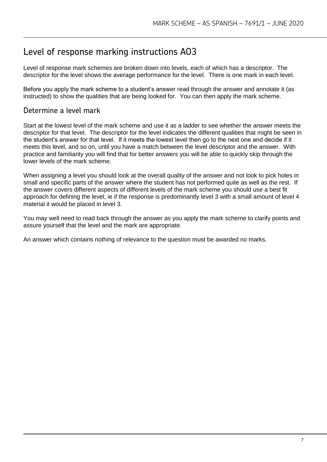## Level of response marking instructions AO3

Level of response mark schemes are broken down into levels, each of which has a descriptor. The descriptor for the level shows the average performance for the level. There is one mark in each level.

Before you apply the mark scheme to a student's answer read through the answer and annotate it (as instructed) to show the qualities that are being looked for. You can then apply the mark scheme.

#### Determine a level mark

Start at the lowest level of the mark scheme and use it as a ladder to see whether the answer meets the descriptor for that level. The descriptor for the level indicates the different qualities that might be seen in the student's answer for that level. If it meets the lowest level then go to the next one and decide if it meets this level, and so on, until you have a match between the level descriptor and the answer. With practice and familiarity you will find that for better answers you will be able to quickly skip through the lower levels of the mark scheme.

When assigning a level you should look at the overall quality of the answer and not look to pick holes in small and specific parts of the answer where the student has not performed quite as well as the rest. If the answer covers different aspects of different levels of the mark scheme you should use a best fit approach for defining the level, ie if the response is predominantly level 3 with a small amount of level 4 material it would be placed in level 3.

You may well need to read back through the answer as you apply the mark scheme to clarify points and assure yourself that the level and the mark are appropriate.

An answer which contains nothing of relevance to the question must be awarded no marks.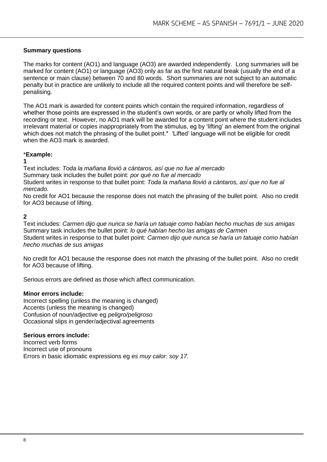#### **Summary questions**

The marks for content (AO1) and language (AO3) are awarded independently. Long summaries will be marked for content (AO1) or language (AO3) only as far as the first natural break (usually the end of a sentence or main clause) between 70 and 80 words. Short summaries are not subject to an automatic penalty but in practice are unlikely to include all the required content points and will therefore be selfpenalising.

The AO1 mark is awarded for content points which contain the required information, regardless of whether those points are expressed in the student's own words, or are partly or wholly lifted from the recording or text. However, no AO1 mark will be awarded for a content point where the student includes irrelevant material or copies inappropriately from the stimulus, eg by 'lifting' an element from the original which does not match the phrasing of the bullet point.<sup>\*</sup> 'Lifted' language will not be eligible for credit when the AO3 mark is awarded.

#### \***Example:**

#### **1**

Text includes: *Toda la mañana llovió a cántaros, así que no fue al mercado*  Summary task includes the bullet point: *por qué no fue al mercado*  Student writes in response to that bullet point: *Toda la mañana llovió a cántaros, así que no fue al mercado.* 

No credit for AO1 because the response does not match the phrasing of the bullet point. Also no credit for AO3 because of lifting.

#### **2**

Text includes: *Carmen dijo que nunca se haría un tatuaje como habían hecho muchas de sus amigas*  Summary task includes the bullet point: *lo qué habían hecho las amigas de Carmen*  Student writes in response to that bullet point: *Carmen dijo que nunca se haría un tatuaje como habían hecho muchas de sus amigas* 

No credit for AO1 because the response does not match the phrasing of the bullet point. Also no credit for AO3 because of lifting.

Serious errors are defined as those which affect communication.

#### **Minor errors include:**

Incorrect spelling (unless the meaning is changed) Accents (unless the meaning is changed) Confusion of noun/adjective eg *peligro/peligroso*  Occasional slips in gender/adjectival agreements

#### **Serious errors include:**

Incorrect verb forms Incorrect use of pronouns Errors in basic idiomatic expressions eg *es muy calor: soy 17.*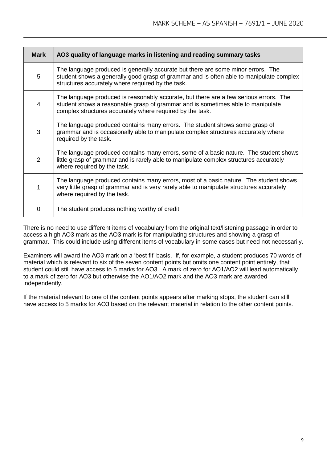| <b>Mark</b>    | AO3 quality of language marks in listening and reading summary tasks                                                                                                                                                                  |
|----------------|---------------------------------------------------------------------------------------------------------------------------------------------------------------------------------------------------------------------------------------|
| 5              | The language produced is generally accurate but there are some minor errors. The<br>student shows a generally good grasp of grammar and is often able to manipulate complex<br>structures accurately where required by the task.      |
| 4              | The language produced is reasonably accurate, but there are a few serious errors. The<br>student shows a reasonable grasp of grammar and is sometimes able to manipulate<br>complex structures accurately where required by the task. |
| 3              | The language produced contains many errors. The student shows some grasp of<br>grammar and is occasionally able to manipulate complex structures accurately where<br>required by the task.                                            |
| $\overline{2}$ | The language produced contains many errors, some of a basic nature. The student shows<br>little grasp of grammar and is rarely able to manipulate complex structures accurately<br>where required by the task.                        |
| 1              | The language produced contains many errors, most of a basic nature. The student shows<br>very little grasp of grammar and is very rarely able to manipulate structures accurately<br>where required by the task.                      |
| 0              | The student produces nothing worthy of credit.                                                                                                                                                                                        |

There is no need to use different items of vocabulary from the original text/listening passage in order to access a high AO3 mark as the AO3 mark is for manipulating structures and showing a grasp of grammar. This could include using different items of vocabulary in some cases but need not necessarily.

Examiners will award the AO3 mark on a 'best fit' basis. If, for example, a student produces 70 words of material which is relevant to six of the seven content points but omits one content point entirely, that student could still have access to 5 marks for AO3. A mark of zero for AO1/AO2 will lead automatically to a mark of zero for AO3 but otherwise the AO1/AO2 mark and the AO3 mark are awarded independently.

If the material relevant to one of the content points appears after marking stops, the student can still have access to 5 marks for AO3 based on the relevant material in relation to the other content points.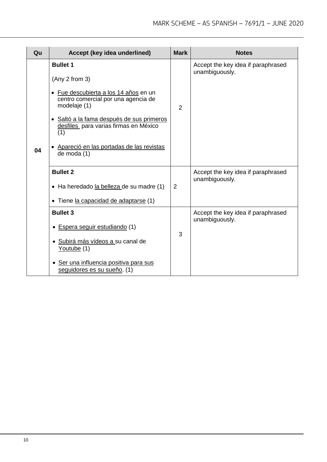| Qu | Accept (key idea underlined)                                                                                                                                                                                                                                                                | <b>Mark</b>    | <b>Notes</b>                                         |
|----|---------------------------------------------------------------------------------------------------------------------------------------------------------------------------------------------------------------------------------------------------------------------------------------------|----------------|------------------------------------------------------|
| 04 | <b>Bullet 1</b><br>(Any 2 from 3)<br>· Fue descubierta a los 14 años en un<br>centro comercial por una agencia de<br>modelaje (1)<br>· Saltó a la fama después de sus primeros<br>desfiles para varias firmas en México<br>(1)<br>• Apareció en las portadas de las revistas<br>de moda (1) | $\overline{2}$ | Accept the key idea if paraphrased<br>unambiguously. |
|    | <b>Bullet 2</b><br>• Ha heredado la belleza de su madre (1)<br>• Tiene la capacidad de adaptarse (1)                                                                                                                                                                                        | $\overline{2}$ | Accept the key idea if paraphrased<br>unambiguously. |
|    | <b>Bullet 3</b><br>• Espera seguir estudiando (1)<br>· Subirá más vídeos a su canal de<br>Youtube (1)<br>· Ser una influencia positiva para sus<br>seguidores es su sueño. (1)                                                                                                              | 3              | Accept the key idea if paraphrased<br>unambiguously. |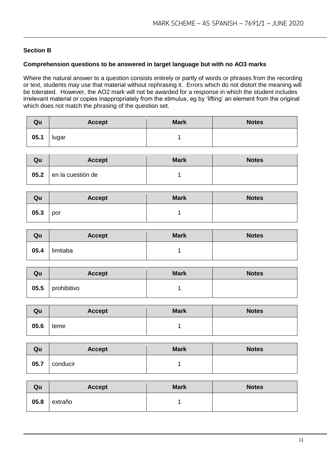#### **Section B**

#### **Comprehension questions to be answered in target language but with no AO3 marks**

Where the natural answer to a question consists entirely or partly of words or phrases from the recording or text, students may use that material without rephrasing it. Errors which do not distort the meaning will be tolerated. However, the AO2 mark will not be awarded for a response in which the student includes irrelevant material or copies inappropriately from the stimulus, eg by 'lifting' an element from the original which does not match the phrasing of the question set.

| Qu   | <b>Accept</b> | <b>Mark</b> | <b>Notes</b> |
|------|---------------|-------------|--------------|
| 05.1 | lugar         |             |              |

| Qu   | <b>Accept</b>     | <b>Mark</b> | <b>Notes</b> |
|------|-------------------|-------------|--------------|
| 05.2 | en la cuestión de |             |              |

| Qu   | <b>Accept</b> | <b>Mark</b> | <b>Notes</b> |
|------|---------------|-------------|--------------|
| 05.3 | por           |             |              |

| Qu   | <b>Accept</b> | <b>Mark</b> | <b>Notes</b> |
|------|---------------|-------------|--------------|
| 05.4 | limitaba      |             |              |

| Qu   | <b>Accept</b> | <b>Mark</b> | <b>Notes</b> |
|------|---------------|-------------|--------------|
| 05.5 | prohibitivo   |             |              |

| Qu   | <b>Accept</b> | <b>Mark</b> | <b>Notes</b> |
|------|---------------|-------------|--------------|
| 05.6 | teme          |             |              |

| Qu   | <b>Accept</b> | <b>Mark</b> | <b>Notes</b> |
|------|---------------|-------------|--------------|
| 05.7 | conducir      |             |              |

| Qu   | <b>Accept</b> | <b>Mark</b> | <b>Notes</b> |
|------|---------------|-------------|--------------|
| 05.8 | extraño       |             |              |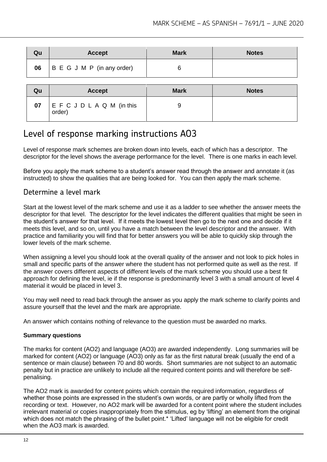| Qu | <b>Accept</b>              | <b>Mark</b> | <b>Notes</b> |
|----|----------------------------|-------------|--------------|
| 06 | B E G J M P (in any order) |             |              |

| Qu | <b>Accept</b>                | <b>Mark</b> | <b>Notes</b> |
|----|------------------------------|-------------|--------------|
| 07 | EFCJDLAQM (in this<br>order) | У           |              |

# Level of response marking instructions AO3

Level of response mark schemes are broken down into levels, each of which has a descriptor. The descriptor for the level shows the average performance for the level. There is one marks in each level.

Before you apply the mark scheme to a student's answer read through the answer and annotate it (as instructed) to show the qualities that are being looked for. You can then apply the mark scheme.

#### Determine a level mark

Start at the lowest level of the mark scheme and use it as a ladder to see whether the answer meets the descriptor for that level. The descriptor for the level indicates the different qualities that might be seen in the student's answer for that level. If it meets the lowest level then go to the next one and decide if it meets this level, and so on, until you have a match between the level descriptor and the answer. With practice and familiarity you will find that for better answers you will be able to quickly skip through the lower levels of the mark scheme.

When assigning a level you should look at the overall quality of the answer and not look to pick holes in small and specific parts of the answer where the student has not performed quite as well as the rest. If the answer covers different aspects of different levels of the mark scheme you should use a best fit approach for defining the level, ie if the response is predominantly level 3 with a small amount of level 4 material it would be placed in level 3.

You may well need to read back through the answer as you apply the mark scheme to clarify points and assure yourself that the level and the mark are appropriate.

An answer which contains nothing of relevance to the question must be awarded no marks.

#### **Summary questions**

The marks for content (AO2) and language (AO3) are awarded independently. Long summaries will be marked for content (AO2) or language (AO3) only as far as the first natural break (usually the end of a sentence or main clause) between 70 and 80 words. Short summaries are not subject to an automatic penalty but in practice are unlikely to include all the required content points and will therefore be selfpenalising.

The AO2 mark is awarded for content points which contain the required information, regardless of whether those points are expressed in the student's own words, or are partly or wholly lifted from the recording or text. However, no AO2 mark will be awarded for a content point where the student includes irrelevant material or copies inappropriately from the stimulus, eg by 'lifting' an element from the original which does not match the phrasing of the bullet point.<sup>\*</sup> 'Lifted' language will not be eligible for credit when the AO3 mark is awarded.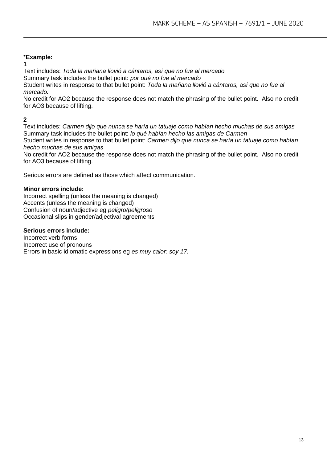#### \***Example:**

**1**

Text includes: *Toda la mañana llovió a cántaros, así que no fue al mercado* 

Summary task includes the bullet point: *por qué no fue al mercado* 

Student writes in response to that bullet point: *Toda la mañana llovió a cántaros, así que no fue al mercado.* 

No credit for AO2 because the response does not match the phrasing of the bullet point. Also no credit for AO3 because of lifting.

#### **2**

Text includes: *Carmen dijo que nunca se haría un tatuaje como habían hecho muchas de sus amigas*  Summary task includes the bullet point: *lo qué habían hecho las amigas de Carmen* 

Student writes in response to that bullet point: *Carmen dijo que nunca se haría un tatuaje como habían hecho muchas de sus amigas* 

No credit for AO2 because the response does not match the phrasing of the bullet point. Also no credit for AO3 because of lifting.

Serious errors are defined as those which affect communication.

#### **Minor errors include:**

Incorrect spelling (unless the meaning is changed) Accents (unless the meaning is changed) Confusion of noun/adjective eg *peligro/peligroso*  Occasional slips in gender/adjectival agreements

#### **Serious errors include:**

Incorrect verb forms Incorrect use of pronouns Errors in basic idiomatic expressions eg *es muy calor: soy 17.*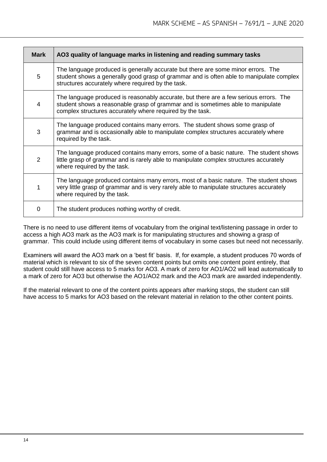| <b>Mark</b> | AO3 quality of language marks in listening and reading summary tasks                                                                                                                                                                  |
|-------------|---------------------------------------------------------------------------------------------------------------------------------------------------------------------------------------------------------------------------------------|
| 5           | The language produced is generally accurate but there are some minor errors. The<br>student shows a generally good grasp of grammar and is often able to manipulate complex<br>structures accurately where required by the task.      |
| 4           | The language produced is reasonably accurate, but there are a few serious errors. The<br>student shows a reasonable grasp of grammar and is sometimes able to manipulate<br>complex structures accurately where required by the task. |
| 3           | The language produced contains many errors. The student shows some grasp of<br>grammar and is occasionally able to manipulate complex structures accurately where<br>required by the task.                                            |
| 2           | The language produced contains many errors, some of a basic nature. The student shows<br>little grasp of grammar and is rarely able to manipulate complex structures accurately<br>where required by the task.                        |
| 1           | The language produced contains many errors, most of a basic nature. The student shows<br>very little grasp of grammar and is very rarely able to manipulate structures accurately<br>where required by the task.                      |
| 0           | The student produces nothing worthy of credit.                                                                                                                                                                                        |

There is no need to use different items of vocabulary from the original text/listening passage in order to access a high AO3 mark as the AO3 mark is for manipulating structures and showing a grasp of grammar. This could include using different items of vocabulary in some cases but need not necessarily.

Examiners will award the AO3 mark on a 'best fit' basis. If, for example, a student produces 70 words of material which is relevant to six of the seven content points but omits one content point entirely, that student could still have access to 5 marks for AO3. A mark of zero for AO1/AO2 will lead automatically to a mark of zero for AO3 but otherwise the AO1/AO2 mark and the AO3 mark are awarded independently.

If the material relevant to one of the content points appears after marking stops, the student can still have access to 5 marks for AO3 based on the relevant material in relation to the other content points.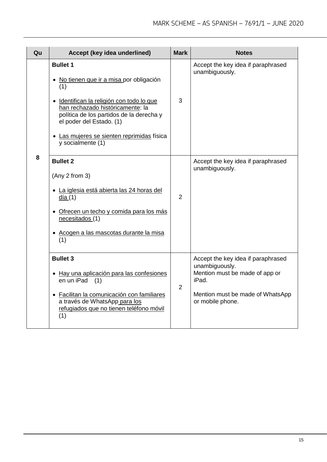| Qu | Accept (key idea underlined)                                                                                                                                                                                                                                                                   | <b>Mark</b>    | <b>Notes</b>                                                                                                                                            |
|----|------------------------------------------------------------------------------------------------------------------------------------------------------------------------------------------------------------------------------------------------------------------------------------------------|----------------|---------------------------------------------------------------------------------------------------------------------------------------------------------|
|    | <b>Bullet 1</b><br>• No tienen que ir a misa por obligación<br>(1)<br>· Identifican la religión con todo lo que<br>han rechazado históricamente: la<br>política de los partidos de la derecha y<br>el poder del Estado. (1)<br>• Las mujeres se sienten reprimidas física<br>y socialmente (1) | 3              | Accept the key idea if paraphrased<br>unambiguously.                                                                                                    |
| 8  | <b>Bullet 2</b><br>(Any 2 from 3)<br>· La iglesia está abierta las 24 horas del<br>$\frac{d(a(1))}{dt}$<br>· Ofrecen un techo y comida para los más<br>necesitados (1)<br>Acogen a las mascotas durante la misa<br>(1)                                                                         | $\overline{2}$ | Accept the key idea if paraphrased<br>unambiguously.                                                                                                    |
|    | <b>Bullet 3</b><br>• Hay una aplicación para las confesiones<br>en un iPad<br>(1)<br>• Facilitan la comunicación con familiares<br>a través de WhatsApp para los<br>refugiados que no tienen teléfono móvil<br>(1)                                                                             | $\overline{2}$ | Accept the key idea if paraphrased<br>unambiguously.<br>Mention must be made of app or<br>iPad.<br>Mention must be made of WhatsApp<br>or mobile phone. |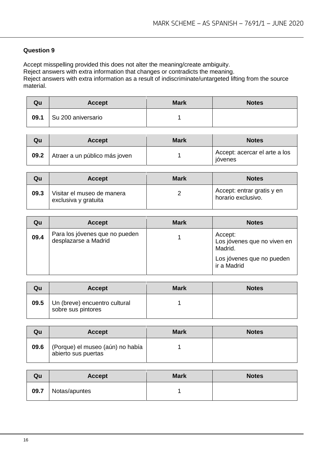#### **Question 9**

Accept misspelling provided this does not alter the meaning/create ambiguity. Reject answers with extra information that changes or contradicts the meaning. Reject answers with extra information as a result of indiscriminate/untargeted lifting from the source material.

| Qu   | <b>Accept</b>      | <b>Mark</b> | <b>Notes</b> |
|------|--------------------|-------------|--------------|
| 09.1 | Su 200 aniversario |             |              |

| Qu   | <b>Accept</b>                 | <b>Mark</b> | <b>Notes</b>                             |
|------|-------------------------------|-------------|------------------------------------------|
| 09.2 | Atraer a un público más joven |             | Accept: acercar el arte a los<br>ióvenes |

| Qu   | <b>Accept</b>                                      | <b>Mark</b> | <b>Notes</b>                                     |
|------|----------------------------------------------------|-------------|--------------------------------------------------|
| 09.3 | Visitar el museo de manera<br>exclusiva y gratuita |             | Accept: entrar gratis y en<br>horario exclusivo. |

| Qu   | <b>Accept</b>                                          | <b>Mark</b> | <b>Notes</b>                                      |
|------|--------------------------------------------------------|-------------|---------------------------------------------------|
| 09.4 | Para los jóvenes que no pueden<br>desplazarse a Madrid |             | Accept:<br>Los jóvenes que no viven en<br>Madrid. |
|      |                                                        |             | Los jóvenes que no pueden<br>ir a Madrid          |

| Qu   | <b>Accept</b>                                       | <b>Mark</b> | <b>Notes</b> |
|------|-----------------------------------------------------|-------------|--------------|
| 09.5 | Un (breve) encuentro cultural<br>sobre sus pintores |             |              |

| Qu   | <b>Accept</b>                                           | <b>Mark</b> | <b>Notes</b> |
|------|---------------------------------------------------------|-------------|--------------|
| 09.6 | (Porque) el museo (aún) no había<br>abierto sus puertas |             |              |

| Qu   | <b>Accept</b> | <b>Mark</b> | <b>Notes</b> |
|------|---------------|-------------|--------------|
| 09.7 | Notas/apuntes |             |              |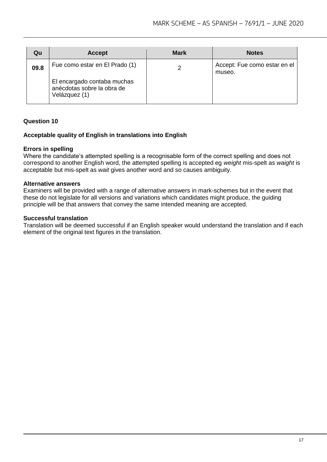| Qu   | <b>Accept</b>                                                              | <b>Mark</b> | <b>Notes</b>                           |
|------|----------------------------------------------------------------------------|-------------|----------------------------------------|
| 09.8 | Fue como estar en El Prado (1)                                             |             | Accept: Fue como estar en el<br>museo. |
|      | El encargado contaba muchas<br>anécdotas sobre la obra de<br>Velázquez (1) |             |                                        |

#### **Question 10**

#### **Acceptable quality of English in translations into English**

#### **Errors in spelling**

Where the candidate's attempted spelling is a recognisable form of the correct spelling and does not correspond to another English word, the attempted spelling is accepted eg *weight* mis-spelt as *waight* is acceptable but mis-spelt as *wait* gives another word and so causes ambiguity.

#### **Alternative answers**

Examiners will be provided with a range of alternative answers in mark-schemes but in the event that these do not legislate for all versions and variations which candidates might produce, the guiding principle will be that answers that convey the same intended meaning are accepted.

#### **Successful translation**

Translation will be deemed successful if an English speaker would understand the translation and if each element of the original text figures in the translation.